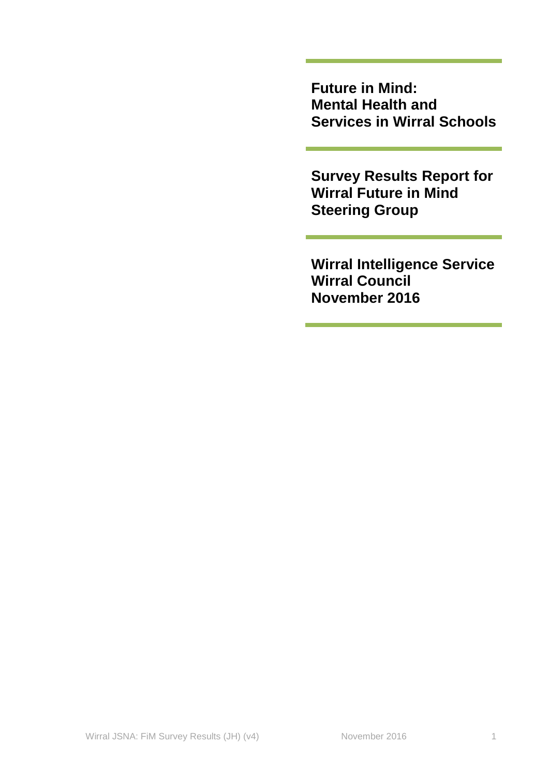**Future in Mind: Mental Health and Services in Wirral Schools**

**Survey Results Report for Wirral Future in Mind Steering Group**

**Wirral Intelligence Service Wirral Council November 2016**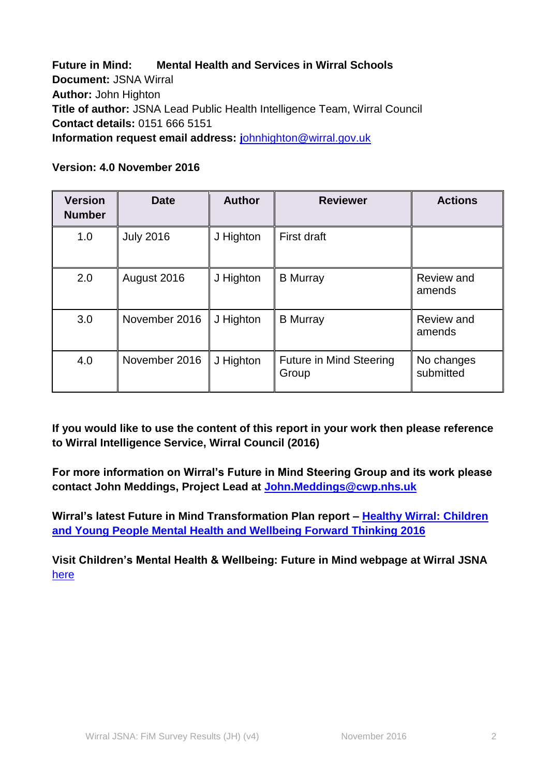**Future in Mind: Mental Health and Services in Wirral Schools Document:** JSNA Wirral **Author:** John Highton **Title of author:** JSNA Lead Public Health Intelligence Team, Wirral Council **Contact details:** 0151 666 5151 **Information request email address: j**[ohnhighton@wirral.gov.uk](mailto:johnhighton@wirral.gov.uk)

| <b>Version</b><br><b>Number</b> | <b>Date</b>      | <b>Author</b> | <b>Reviewer</b>                         | <b>Actions</b>          |
|---------------------------------|------------------|---------------|-----------------------------------------|-------------------------|
| 1.0                             | <b>July 2016</b> | J Highton     | First draft                             |                         |
| 2.0                             | August 2016      | J Highton     | <b>B</b> Murray                         | Review and<br>amends    |
| 3.0                             | November 2016    | J Highton     | <b>B</b> Murray                         | Review and<br>amends    |
| 4.0                             | November 2016    | J Highton     | <b>Future in Mind Steering</b><br>Group | No changes<br>submitted |

### **Version: 4.0 November 2016**

**If you would like to use the content of this report in your work then please reference to Wirral Intelligence Service, Wirral Council (2016)**

**For more information on Wirral's Future in Mind Steering Group and its work please contact John Meddings, Project Lead at [John.Meddings@cwp.nhs.uk](mailto:John.Meddings@cwp.nhs.uk)**

**Wirral's latest Future in Mind Transformation Plan report – [Healthy Wirral:](http://info.wirral.nhs.uk/document_uploads/CYP/161031%20FINAL%20CAMHS%20Transformation%20plan%20refresh%20October%202016.pdf) Children [and Young People Mental Health](http://info.wirral.nhs.uk/document_uploads/CYP/161031%20FINAL%20CAMHS%20Transformation%20plan%20refresh%20October%202016.pdf) and Wellbeing Forward Thinking 2016**

**Visit Children's Mental Health & Wellbeing: Future in Mind webpage at Wirral JSNA**  [here](http://info.wirral.nhs.uk/ourjsna/children_and_young_people_mental_health.html)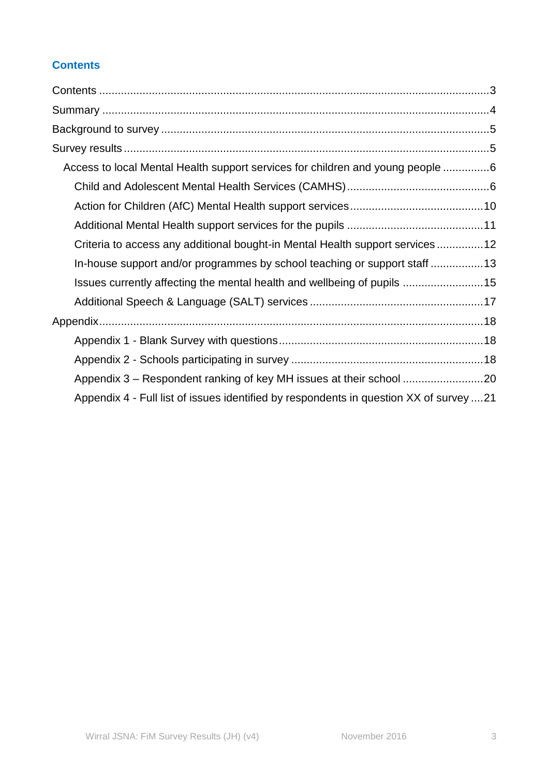# <span id="page-2-0"></span>**Contents**

| Access to local Mental Health support services for children and young people 6         |
|----------------------------------------------------------------------------------------|
|                                                                                        |
|                                                                                        |
|                                                                                        |
| Criteria to access any additional bought-in Mental Health support services 12          |
| In-house support and/or programmes by school teaching or support staff 13              |
| Issues currently affecting the mental health and wellbeing of pupils 15                |
|                                                                                        |
|                                                                                        |
|                                                                                        |
|                                                                                        |
| Appendix 3 - Respondent ranking of key MH issues at their school 20                    |
| Appendix 4 - Full list of issues identified by respondents in question XX of survey 21 |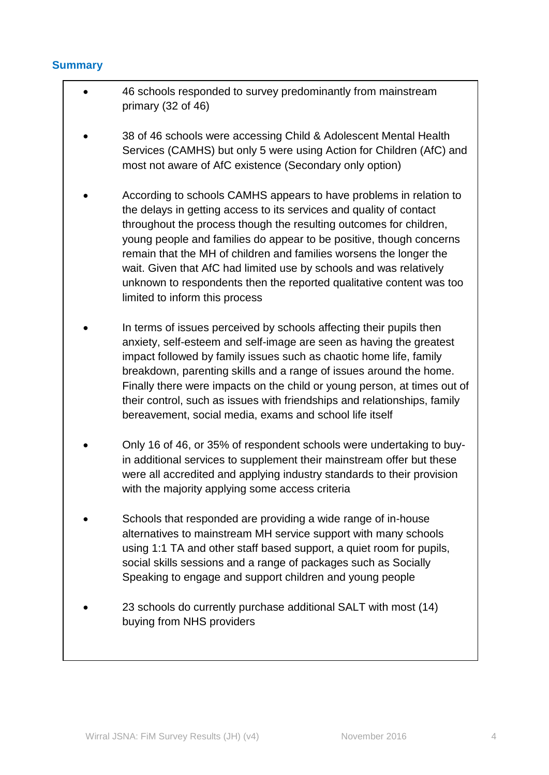### <span id="page-3-0"></span>**Summary**

- 46 schools responded to survey predominantly from mainstream primary (32 of 46)
- 38 of 46 schools were accessing Child & Adolescent Mental Health Services (CAMHS) but only 5 were using Action for Children (AfC) and most not aware of AfC existence (Secondary only option)
- According to schools CAMHS appears to have problems in relation to the delays in getting access to its services and quality of contact throughout the process though the resulting outcomes for children, young people and families do appear to be positive, though concerns remain that the MH of children and families worsens the longer the wait. Given that AfC had limited use by schools and was relatively unknown to respondents then the reported qualitative content was too limited to inform this process
- In terms of issues perceived by schools affecting their pupils then anxiety, self-esteem and self-image are seen as having the greatest impact followed by family issues such as chaotic home life, family breakdown, parenting skills and a range of issues around the home. Finally there were impacts on the child or young person, at times out of their control, such as issues with friendships and relationships, family bereavement, social media, exams and school life itself
- Only 16 of 46, or 35% of respondent schools were undertaking to buyin additional services to supplement their mainstream offer but these were all accredited and applying industry standards to their provision with the majority applying some access criteria
- Schools that responded are providing a wide range of in-house alternatives to mainstream MH service support with many schools using 1:1 TA and other staff based support, a quiet room for pupils, social skills sessions and a range of packages such as Socially Speaking to engage and support children and young people
- 23 schools do currently purchase additional SALT with most (14) buying from NHS providers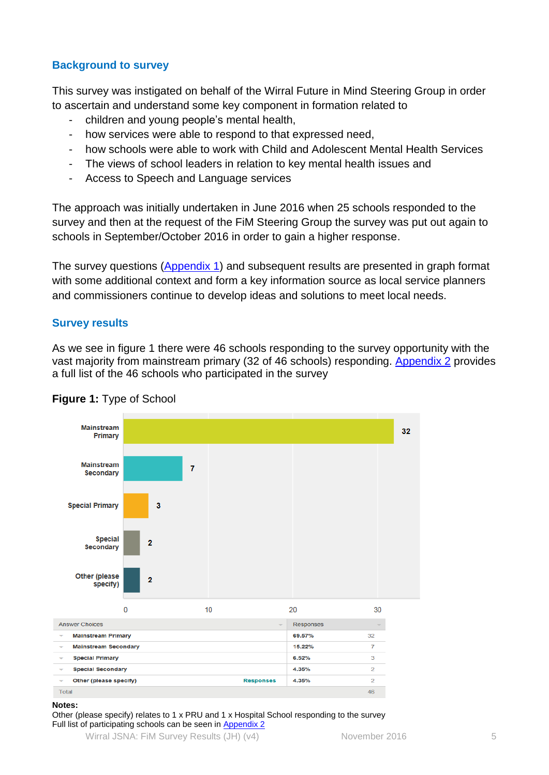## <span id="page-4-0"></span>**Background to survey**

This survey was instigated on behalf of the Wirral Future in Mind Steering Group in order to ascertain and understand some key component in formation related to

- children and young people's mental health,
- how services were able to respond to that expressed need,
- how schools were able to work with Child and Adolescent Mental Health Services
- The views of school leaders in relation to key mental health issues and
- Access to Speech and Language services

The approach was initially undertaken in June 2016 when 25 schools responded to the survey and then at the request of the FiM Steering Group the survey was put out again to schools in September/October 2016 in order to gain a higher response.

The survey questions [\(Appendix 1\)](#page-17-1) and subsequent results are presented in graph format with some additional context and form a key information source as local service planners and commissioners continue to develop ideas and solutions to meet local needs.

### <span id="page-4-1"></span>**Survey results**

As we see in figure 1 there were 46 schools responding to the survey opportunity with the vast majority from mainstream primary (32 of 46 schools) responding. [Appendix 2](#page-17-2) provides a full list of the 46 schools who participated in the survey



## **Figure 1:** Type of School

#### **Notes:**

Other (please specify) relates to 1 x PRU and 1 x Hospital School responding to the survey Full list of participating schools can be seen in [Appendix 2](#page-17-2)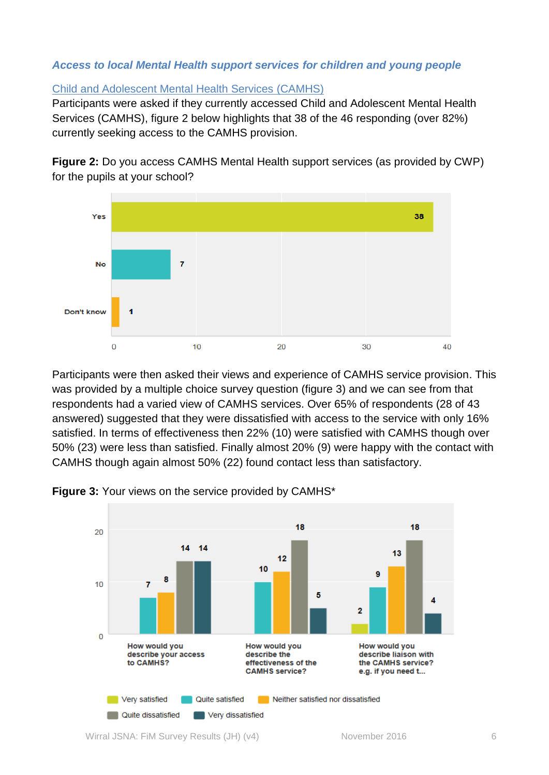### <span id="page-5-0"></span>*Access to local Mental Health support services for children and young people*

### <span id="page-5-1"></span>Child and Adolescent Mental Health Services (CAMHS)

Participants were asked if they currently accessed Child and Adolescent Mental Health Services (CAMHS), figure 2 below highlights that 38 of the 46 responding (over 82%) currently seeking access to the CAMHS provision.

**Figure 2:** Do you access CAMHS Mental Health support services (as provided by CWP) for the pupils at your school?



Participants were then asked their views and experience of CAMHS service provision. This was provided by a multiple choice survey question (figure 3) and we can see from that respondents had a varied view of CAMHS services. Over 65% of respondents (28 of 43 answered) suggested that they were dissatisfied with access to the service with only 16% satisfied. In terms of effectiveness then 22% (10) were satisfied with CAMHS though over 50% (23) were less than satisfied. Finally almost 20% (9) were happy with the contact with CAMHS though again almost 50% (22) found contact less than satisfactory.



**Figure 3:** Your views on the service provided by CAMHS\*

Wirral JSNA: FiM Survey Results (JH) (v4) November 2016 6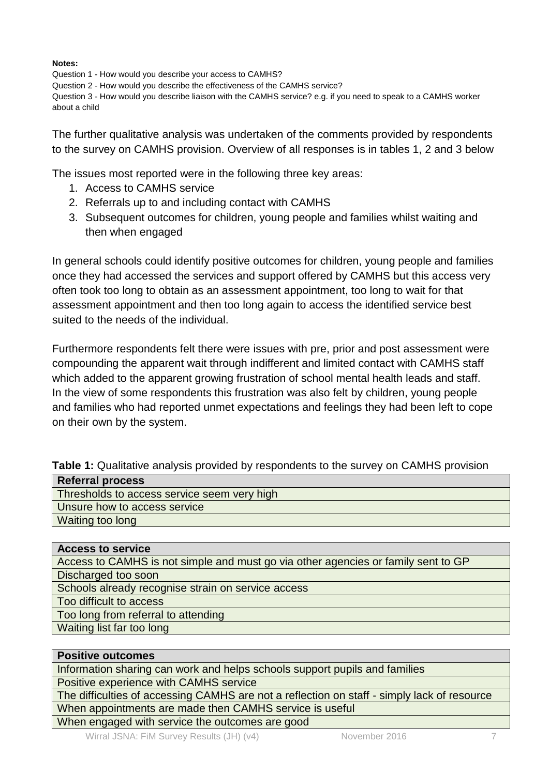#### **Notes:**

Question 1 - How would you describe your access to CAMHS?

Question 2 - How would you describe the effectiveness of the CAMHS service?

Question 3 - How would you describe liaison with the CAMHS service? e.g. if you need to speak to a CAMHS worker about a child

The further qualitative analysis was undertaken of the comments provided by respondents to the survey on CAMHS provision. Overview of all responses is in tables 1, 2 and 3 below

The issues most reported were in the following three key areas:

- 1. Access to CAMHS service
- 2. Referrals up to and including contact with CAMHS
- 3. Subsequent outcomes for children, young people and families whilst waiting and then when engaged

In general schools could identify positive outcomes for children, young people and families once they had accessed the services and support offered by CAMHS but this access very often took too long to obtain as an assessment appointment, too long to wait for that assessment appointment and then too long again to access the identified service best suited to the needs of the individual.

Furthermore respondents felt there were issues with pre, prior and post assessment were compounding the apparent wait through indifferent and limited contact with CAMHS staff which added to the apparent growing frustration of school mental health leads and staff. In the view of some respondents this frustration was also felt by children, young people and families who had reported unmet expectations and feelings they had been left to cope on their own by the system.

|  |  | Table 1: Qualitative analysis provided by respondents to the survey on CAMHS provision |  |
|--|--|----------------------------------------------------------------------------------------|--|
|--|--|----------------------------------------------------------------------------------------|--|

| <b>Referral process</b>                     |  |
|---------------------------------------------|--|
| Thresholds to access service seem very high |  |
| Unsure how to access service                |  |
| Waiting too long                            |  |

**Access to service** Access to CAMHS is not simple and must go via other agencies or family sent to GP Discharged too soon Schools already recognise strain on service access Too difficult to access Too long from referral to attending Waiting list far too long

| <b>Positive outcomes</b>                                                                    |
|---------------------------------------------------------------------------------------------|
| Information sharing can work and helps schools support pupils and families                  |
| Positive experience with CAMHS service                                                      |
| The difficulties of accessing CAMHS are not a reflection on staff - simply lack of resource |
| When appointments are made then CAMHS service is useful                                     |
| When engaged with service the outcomes are good                                             |
| $ML_{mod}$ IONIA : $\Box M$ O  D $LU = IL$                                                  |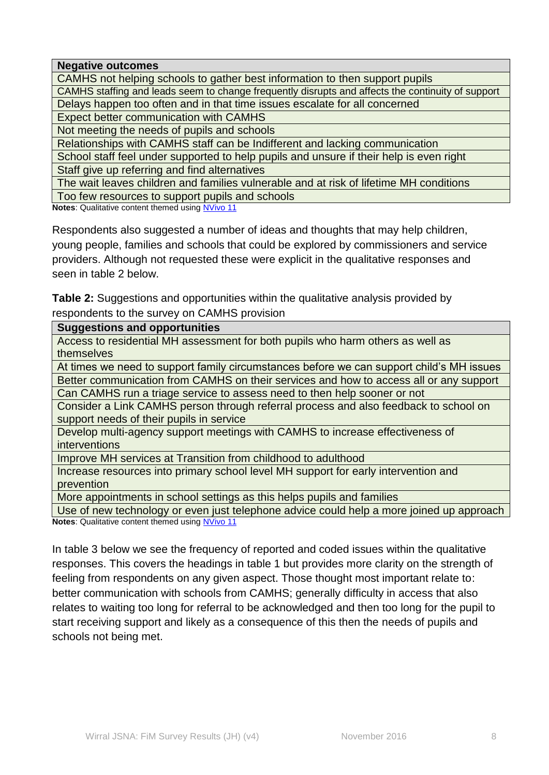**Negative outcomes**

CAMHS not helping schools to gather best information to then support pupils

CAMHS staffing and leads seem to change frequently disrupts and affects the continuity of support Delays happen too often and in that time issues escalate for all concerned

Expect better communication with CAMHS

Not meeting the needs of pupils and schools

Relationships with CAMHS staff can be Indifferent and lacking communication

School staff feel under supported to help pupils and unsure if their help is even right

Staff give up referring and find alternatives

The wait leaves children and families vulnerable and at risk of lifetime MH conditions

Too few resources to support pupils and schools

**Notes**: Qualitative content themed using [NVivo 11](http://www.qsrinternational.com/nvivo-product)

Respondents also suggested a number of ideas and thoughts that may help children, young people, families and schools that could be explored by commissioners and service providers. Although not requested these were explicit in the qualitative responses and seen in table 2 below.

**Table 2:** Suggestions and opportunities within the qualitative analysis provided by respondents to the survey on CAMHS provision

### **Suggestions and opportunities**

Access to residential MH assessment for both pupils who harm others as well as themselves

At times we need to support family circumstances before we can support child's MH issues

Better communication from CAMHS on their services and how to access all or any support

Can CAMHS run a triage service to assess need to then help sooner or not

Consider a Link CAMHS person through referral process and also feedback to school on support needs of their pupils in service

Develop multi-agency support meetings with CAMHS to increase effectiveness of interventions

Improve MH services at Transition from childhood to adulthood

Increase resources into primary school level MH support for early intervention and prevention

More appointments in school settings as this helps pupils and families

Use of new technology or even just telephone advice could help a more joined up approach **Notes**: Qualitative content themed using [NVivo 11](http://www.qsrinternational.com/nvivo-product)

In table 3 below we see the frequency of reported and coded issues within the qualitative responses. This covers the headings in table 1 but provides more clarity on the strength of feeling from respondents on any given aspect. Those thought most important relate to: better communication with schools from CAMHS; generally difficulty in access that also relates to waiting too long for referral to be acknowledged and then too long for the pupil to start receiving support and likely as a consequence of this then the needs of pupils and schools not being met.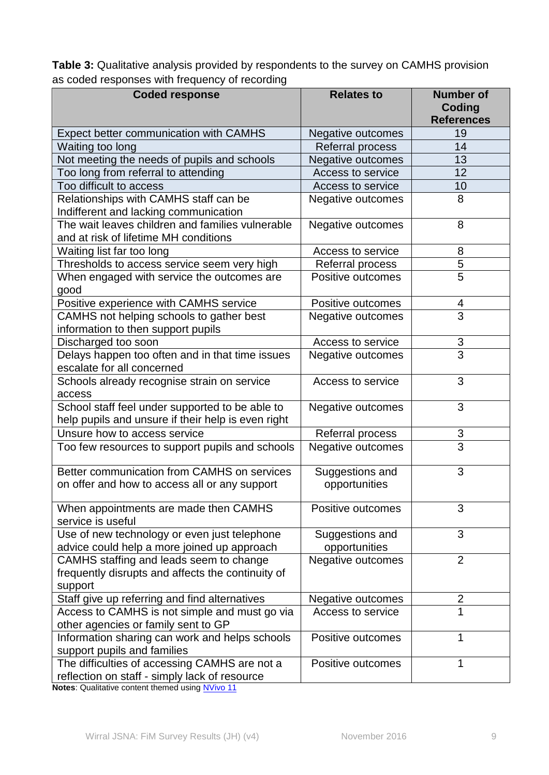**Table 3:** Qualitative analysis provided by respondents to the survey on CAMHS provision as coded responses with frequency of recording

| <b>Coded response</b>                                                                          | <b>Relates to</b>                | <b>Number of</b><br>Coding |
|------------------------------------------------------------------------------------------------|----------------------------------|----------------------------|
|                                                                                                |                                  | <b>References</b>          |
| Expect better communication with CAMHS                                                         | Negative outcomes                | 19                         |
| Waiting too long                                                                               | Referral process                 | 14                         |
| Not meeting the needs of pupils and schools                                                    | Negative outcomes                | 13                         |
| Too long from referral to attending                                                            | Access to service                | 12                         |
| Too difficult to access                                                                        | Access to service                | 10                         |
| Relationships with CAMHS staff can be                                                          | Negative outcomes                | 8                          |
| Indifferent and lacking communication                                                          |                                  |                            |
| The wait leaves children and families vulnerable<br>and at risk of lifetime MH conditions      | Negative outcomes                | 8                          |
| Waiting list far too long                                                                      | Access to service                | 8                          |
| Thresholds to access service seem very high                                                    | Referral process                 | 5                          |
| When engaged with service the outcomes are<br>good                                             | Positive outcomes                | 5                          |
| Positive experience with CAMHS service                                                         | Positive outcomes                | 4                          |
| CAMHS not helping schools to gather best<br>information to then support pupils                 | Negative outcomes                | 3                          |
| Discharged too soon                                                                            | Access to service                | 3                          |
| Delays happen too often and in that time issues                                                | Negative outcomes                | 3                          |
| escalate for all concerned                                                                     |                                  |                            |
| Schools already recognise strain on service<br>access                                          | Access to service                | 3                          |
| School staff feel under supported to be able to                                                | Negative outcomes                | 3                          |
| help pupils and unsure if their help is even right                                             |                                  |                            |
| Unsure how to access service                                                                   | Referral process                 | 3                          |
| Too few resources to support pupils and schools                                                | Negative outcomes                | $\overline{3}$             |
| Better communication from CAMHS on services                                                    | Suggestions and                  | 3                          |
| on offer and how to access all or any support                                                  | opportunities                    |                            |
| When appointments are made then CAMHS<br>service is useful                                     | Positive outcomes                | 3                          |
| Use of new technology or even just telephone<br>advice could help a more joined up approach    | Suggestions and<br>opportunities | 3                          |
| CAMHS staffing and leads seem to change                                                        | Negative outcomes                | $\overline{2}$             |
| frequently disrupts and affects the continuity of                                              |                                  |                            |
| support                                                                                        |                                  |                            |
| Staff give up referring and find alternatives                                                  | Negative outcomes                | 2                          |
| Access to CAMHS is not simple and must go via<br>other agencies or family sent to GP           | Access to service                | $\overline{1}$             |
| Information sharing can work and helps schools<br>support pupils and families                  | Positive outcomes                | 1                          |
| The difficulties of accessing CAMHS are not a<br>reflection on staff - simply lack of resource | Positive outcomes                | 1                          |

**Notes**: Qualitative content themed using [NVivo 11](http://www.qsrinternational.com/nvivo-product)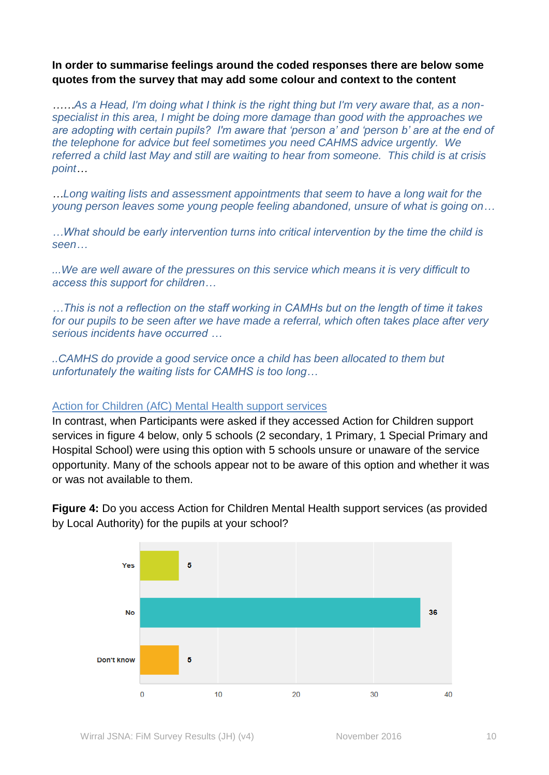## **In order to summarise feelings around the coded responses there are below some quotes from the survey that may add some colour and context to the content**

*……As a Head, I'm doing what I think is the right thing but I'm very aware that, as a nonspecialist in this area, I might be doing more damage than good with the approaches we are adopting with certain pupils? I'm aware that 'person a' and 'person b' are at the end of the telephone for advice but feel sometimes you need CAHMS advice urgently. We referred a child last May and still are waiting to hear from someone. This child is at crisis point…*

*…Long waiting lists and assessment appointments that seem to have a long wait for the young person leaves some young people feeling abandoned, unsure of what is going on…*

*…What should be early intervention turns into critical intervention by the time the child is seen…*

*...We are well aware of the pressures on this service which means it is very difficult to access this support for children…*

*…This is not a reflection on the staff working in CAMHs but on the length of time it takes for our pupils to be seen after we have made a referral, which often takes place after very serious incidents have occurred …*

*..CAMHS do provide a good service once a child has been allocated to them but unfortunately the waiting lists for CAMHS is too long…*

### <span id="page-9-0"></span>Action for Children (AfC) Mental Health support services

In contrast, when Participants were asked if they accessed Action for Children support services in figure 4 below, only 5 schools (2 secondary, 1 Primary, 1 Special Primary and Hospital School) were using this option with 5 schools unsure or unaware of the service opportunity. Many of the schools appear not to be aware of this option and whether it was or was not available to them.

**Figure 4:** Do you access Action for Children Mental Health support services (as provided by Local Authority) for the pupils at your school?

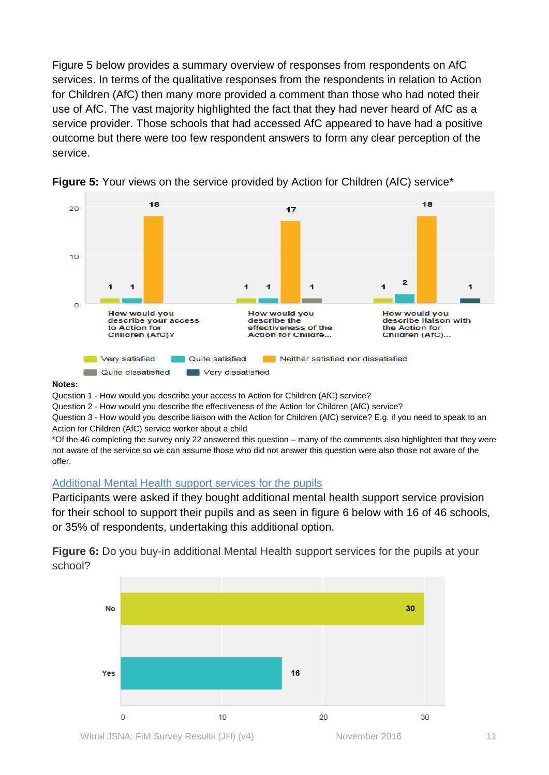Figure 5 below provides a summary overview of responses from respondents on AfC services. In terms of the qualitative responses from the respondents in relation to Action for Children (AfC) then many more provided a comment than those who had noted their use of AfC. The vast majority highlighted the fact that they had never heard of AfC as a service provider. Those schools that had accessed AfC appeared to have had a positive outcome but there were too few respondent answers to form any clear perception of the service.



**Figure 5:** Your views on the service provided by Action for Children (AfC) service<sup>\*</sup>

#### **Notes:**

Question 1 - How would you describe your access to Action for Children (AfC) service?

Question 2 - How would you describe the effectiveness of the Action for Children (AfC) service?

Question 3 - How would you describe liaison with the Action for Children (AfC) service? E.g. if you need to speak to an Action for Children (AfC) service worker about a child

\*Of the 46 completing the survey only 22 answered this question – many of the comments also highlighted that they were not aware of the service so we can assume those who did not answer this question were also those not aware of the offer.

### <span id="page-10-0"></span>Additional Mental Health support services for the pupils

Participants were asked if they bought additional mental health support service provision for their school to support their pupils and as seen in figure 6 below with 16 of 46 schools, or 35% of respondents, undertaking this additional option.

**Figure 6:** Do you buy-in additional Mental Health support services for the pupils at your school?

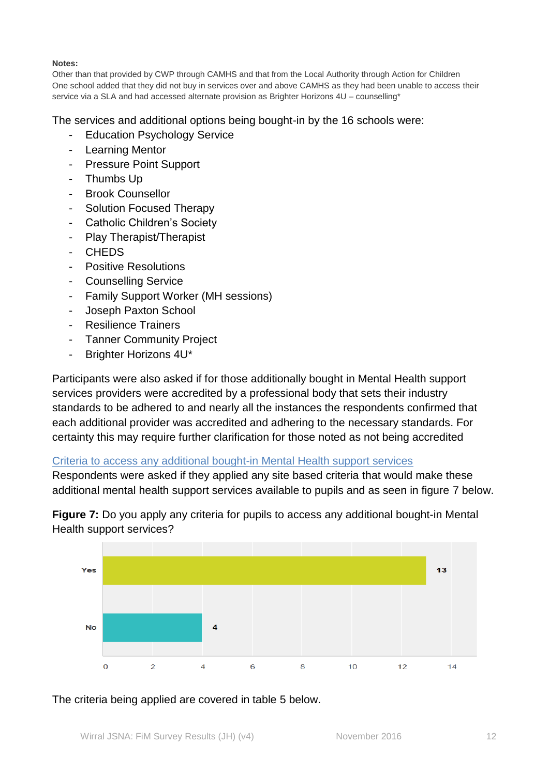### **Notes:**

Other than that provided by CWP through CAMHS and that from the Local Authority through Action for Children One school added that they did not buy in services over and above CAMHS as they had been unable to access their service via a SLA and had accessed alternate provision as Brighter Horizons 4U – counselling\*

The services and additional options being bought-in by the 16 schools were:

- Education Psychology Service
- Learning Mentor
- Pressure Point Support
- Thumbs Up
- Brook Counsellor
- Solution Focused Therapy
- Catholic Children's Society
- Play Therapist/Therapist
- **CHEDS**
- Positive Resolutions
- Counselling Service
- Family Support Worker (MH sessions)
- Joseph Paxton School
- Resilience Trainers
- **Tanner Community Project**
- Brighter Horizons 4U\*

Participants were also asked if for those additionally bought in Mental Health support services providers were accredited by a professional body that sets their industry standards to be adhered to and nearly all the instances the respondents confirmed that each additional provider was accredited and adhering to the necessary standards. For certainty this may require further clarification for those noted as not being accredited

<span id="page-11-0"></span>Criteria to access any additional bought-in Mental Health support services

Respondents were asked if they applied any site based criteria that would make these additional mental health support services available to pupils and as seen in figure 7 below.

**Figure 7:** Do you apply any criteria for pupils to access any additional bought-in Mental Health support services?



The criteria being applied are covered in table 5 below.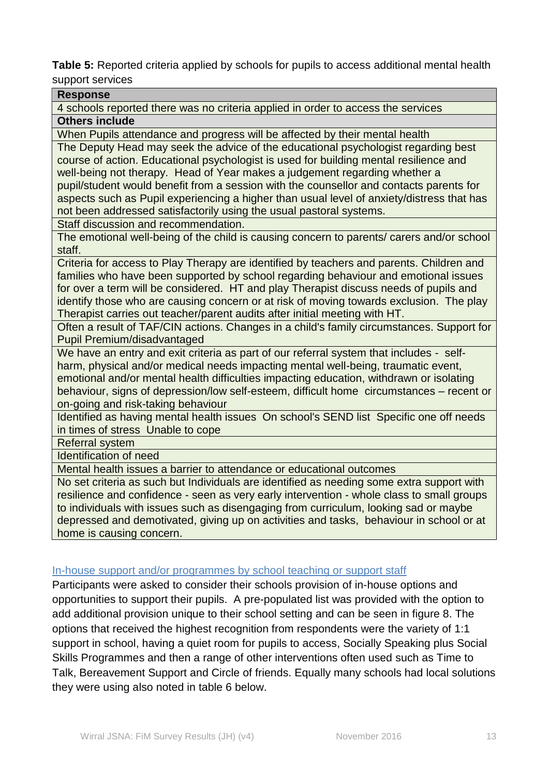**Table 5:** Reported criteria applied by schools for pupils to access additional mental health support services

| <b>Response</b><br>4 schools reported there was no criteria applied in order to access the services<br><b>Others include</b><br>When Pupils attendance and progress will be affected by their mental health<br>The Deputy Head may seek the advice of the educational psychologist regarding best<br>course of action. Educational psychologist is used for building mental resilience and<br>well-being not therapy. Head of Year makes a judgement regarding whether a<br>pupil/student would benefit from a session with the counsellor and contacts parents for<br>aspects such as Pupil experiencing a higher than usual level of anxiety/distress that has |
|------------------------------------------------------------------------------------------------------------------------------------------------------------------------------------------------------------------------------------------------------------------------------------------------------------------------------------------------------------------------------------------------------------------------------------------------------------------------------------------------------------------------------------------------------------------------------------------------------------------------------------------------------------------|
|                                                                                                                                                                                                                                                                                                                                                                                                                                                                                                                                                                                                                                                                  |
|                                                                                                                                                                                                                                                                                                                                                                                                                                                                                                                                                                                                                                                                  |
|                                                                                                                                                                                                                                                                                                                                                                                                                                                                                                                                                                                                                                                                  |
|                                                                                                                                                                                                                                                                                                                                                                                                                                                                                                                                                                                                                                                                  |
|                                                                                                                                                                                                                                                                                                                                                                                                                                                                                                                                                                                                                                                                  |
|                                                                                                                                                                                                                                                                                                                                                                                                                                                                                                                                                                                                                                                                  |
|                                                                                                                                                                                                                                                                                                                                                                                                                                                                                                                                                                                                                                                                  |
|                                                                                                                                                                                                                                                                                                                                                                                                                                                                                                                                                                                                                                                                  |
|                                                                                                                                                                                                                                                                                                                                                                                                                                                                                                                                                                                                                                                                  |
| not been addressed satisfactorily using the usual pastoral systems.                                                                                                                                                                                                                                                                                                                                                                                                                                                                                                                                                                                              |
| Staff discussion and recommendation.                                                                                                                                                                                                                                                                                                                                                                                                                                                                                                                                                                                                                             |
| The emotional well-being of the child is causing concern to parents/ carers and/or school                                                                                                                                                                                                                                                                                                                                                                                                                                                                                                                                                                        |
| staff.                                                                                                                                                                                                                                                                                                                                                                                                                                                                                                                                                                                                                                                           |
| Criteria for access to Play Therapy are identified by teachers and parents. Children and                                                                                                                                                                                                                                                                                                                                                                                                                                                                                                                                                                         |
| families who have been supported by school regarding behaviour and emotional issues                                                                                                                                                                                                                                                                                                                                                                                                                                                                                                                                                                              |
| for over a term will be considered. HT and play Therapist discuss needs of pupils and                                                                                                                                                                                                                                                                                                                                                                                                                                                                                                                                                                            |
| identify those who are causing concern or at risk of moving towards exclusion. The play                                                                                                                                                                                                                                                                                                                                                                                                                                                                                                                                                                          |
| Therapist carries out teacher/parent audits after initial meeting with HT.                                                                                                                                                                                                                                                                                                                                                                                                                                                                                                                                                                                       |
| Often a result of TAF/CIN actions. Changes in a child's family circumstances. Support for                                                                                                                                                                                                                                                                                                                                                                                                                                                                                                                                                                        |
| Pupil Premium/disadvantaged                                                                                                                                                                                                                                                                                                                                                                                                                                                                                                                                                                                                                                      |
| We have an entry and exit criteria as part of our referral system that includes - self-                                                                                                                                                                                                                                                                                                                                                                                                                                                                                                                                                                          |
| harm, physical and/or medical needs impacting mental well-being, traumatic event,                                                                                                                                                                                                                                                                                                                                                                                                                                                                                                                                                                                |
| emotional and/or mental health difficulties impacting education, withdrawn or isolating                                                                                                                                                                                                                                                                                                                                                                                                                                                                                                                                                                          |
| behaviour, signs of depression/low self-esteem, difficult home circumstances - recent or                                                                                                                                                                                                                                                                                                                                                                                                                                                                                                                                                                         |
| on-going and risk-taking behaviour                                                                                                                                                                                                                                                                                                                                                                                                                                                                                                                                                                                                                               |
| Identified as having mental health issues On school's SEND list Specific one off needs                                                                                                                                                                                                                                                                                                                                                                                                                                                                                                                                                                           |
| in times of stress Unable to cope                                                                                                                                                                                                                                                                                                                                                                                                                                                                                                                                                                                                                                |
| <b>Referral system</b>                                                                                                                                                                                                                                                                                                                                                                                                                                                                                                                                                                                                                                           |
| <b>Identification of need</b>                                                                                                                                                                                                                                                                                                                                                                                                                                                                                                                                                                                                                                    |
| Mental health issues a barrier to attendance or educational outcomes                                                                                                                                                                                                                                                                                                                                                                                                                                                                                                                                                                                             |
| No set criteria as such but Individuals are identified as needing some extra support with                                                                                                                                                                                                                                                                                                                                                                                                                                                                                                                                                                        |
| resilience and confidence - seen as very early intervention - whole class to small groups                                                                                                                                                                                                                                                                                                                                                                                                                                                                                                                                                                        |
| to individuals with issues such as disengaging from curriculum, looking sad or maybe                                                                                                                                                                                                                                                                                                                                                                                                                                                                                                                                                                             |
| depressed and demotivated, giving up on activities and tasks, behaviour in school or at                                                                                                                                                                                                                                                                                                                                                                                                                                                                                                                                                                          |
| home is causing concern.                                                                                                                                                                                                                                                                                                                                                                                                                                                                                                                                                                                                                                         |

### <span id="page-12-0"></span>In-house support and/or programmes by school teaching or support staff

Participants were asked to consider their schools provision of in-house options and opportunities to support their pupils. A pre-populated list was provided with the option to add additional provision unique to their school setting and can be seen in figure 8. The options that received the highest recognition from respondents were the variety of 1:1 support in school, having a quiet room for pupils to access, Socially Speaking plus Social Skills Programmes and then a range of other interventions often used such as Time to Talk, Bereavement Support and Circle of friends. Equally many schools had local solutions they were using also noted in table 6 below.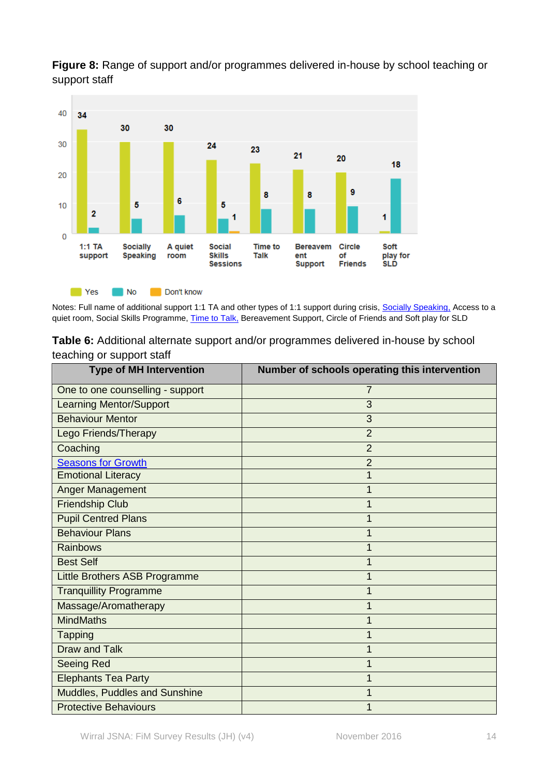

**Figure 8:** Range of support and/or programmes delivered in-house by school teaching or support staff

Notes: Full name of additional support 1:1 TA and other types of 1:1 support during crisis, **Socially Speaking**, Access to a quiet room, Social Skills Programme[, Time to Talk,](http://www.time-to-change.org.uk/about-us/about-our-campaign/time-to-talk) Bereavement Support, Circle of Friends and Soft play for SLD

**Table 6:** Additional alternate support and/or programmes delivered in-house by school teaching or support staff

| <b>Type of MH Intervention</b>       | Number of schools operating this intervention |
|--------------------------------------|-----------------------------------------------|
| One to one counselling - support     | 7                                             |
| <b>Learning Mentor/Support</b>       | 3                                             |
| <b>Behaviour Mentor</b>              | 3                                             |
| Lego Friends/Therapy                 | $\overline{2}$                                |
| Coaching                             | $\overline{2}$                                |
| <b>Seasons for Growth</b>            | $\overline{2}$                                |
| <b>Emotional Literacy</b>            |                                               |
| Anger Management                     |                                               |
| <b>Friendship Club</b>               |                                               |
| <b>Pupil Centred Plans</b>           |                                               |
| <b>Behaviour Plans</b>               |                                               |
| <b>Rainbows</b>                      |                                               |
| <b>Best Self</b>                     |                                               |
| Little Brothers ASB Programme        |                                               |
| <b>Tranquillity Programme</b>        |                                               |
| Massage/Aromatherapy                 |                                               |
| <b>MindMaths</b>                     |                                               |
| <b>Tapping</b>                       |                                               |
| <b>Draw and Talk</b>                 |                                               |
| Seeing Red                           |                                               |
| <b>Elephants Tea Party</b>           |                                               |
| <b>Muddles, Puddles and Sunshine</b> |                                               |
| <b>Protective Behaviours</b>         |                                               |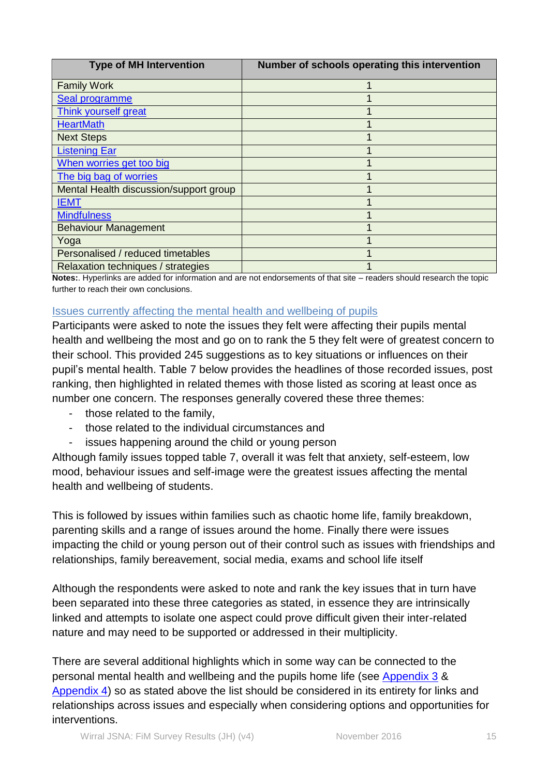| <b>Type of MH Intervention</b>         | Number of schools operating this intervention |
|----------------------------------------|-----------------------------------------------|
| <b>Family Work</b>                     |                                               |
| Seal programme                         |                                               |
| Think yourself great                   |                                               |
| <b>HeartMath</b>                       |                                               |
| <b>Next Steps</b>                      |                                               |
| <b>Listening Ear</b>                   |                                               |
| When worries get too big               |                                               |
| The big bag of worries                 |                                               |
| Mental Health discussion/support group |                                               |
| <b>IEMT</b>                            |                                               |
| <b>Mindfulness</b>                     |                                               |
| <b>Behaviour Management</b>            |                                               |
| Yoga                                   |                                               |
| Personalised / reduced timetables      |                                               |
| Relaxation techniques / strategies     |                                               |

**Notes:**. Hyperlinks are added for information and are not endorsements of that site – readers should research the topic further to reach their own conclusions.

### <span id="page-14-0"></span>Issues currently affecting the mental health and wellbeing of pupils

Participants were asked to note the issues they felt were affecting their pupils mental health and wellbeing the most and go on to rank the 5 they felt were of greatest concern to their school. This provided 245 suggestions as to key situations or influences on their pupil's mental health. Table 7 below provides the headlines of those recorded issues, post ranking, then highlighted in related themes with those listed as scoring at least once as number one concern. The responses generally covered these three themes:

- those related to the family,
- those related to the individual circumstances and
- issues happening around the child or young person

Although family issues topped table 7, overall it was felt that anxiety, self-esteem, low mood, behaviour issues and self-image were the greatest issues affecting the mental health and wellbeing of students.

This is followed by issues within families such as chaotic home life, family breakdown, parenting skills and a range of issues around the home. Finally there were issues impacting the child or young person out of their control such as issues with friendships and relationships, family bereavement, social media, exams and school life itself

Although the respondents were asked to note and rank the key issues that in turn have been separated into these three categories as stated, in essence they are intrinsically linked and attempts to isolate one aspect could prove difficult given their inter-related nature and may need to be supported or addressed in their multiplicity.

There are several additional highlights which in some way can be connected to the personal mental health and wellbeing and the pupils home life (see [Appendix 3](#page-19-0) & [Appendix 4\)](#page-20-0) so as stated above the list should be considered in its entirety for links and relationships across issues and especially when considering options and opportunities for interventions.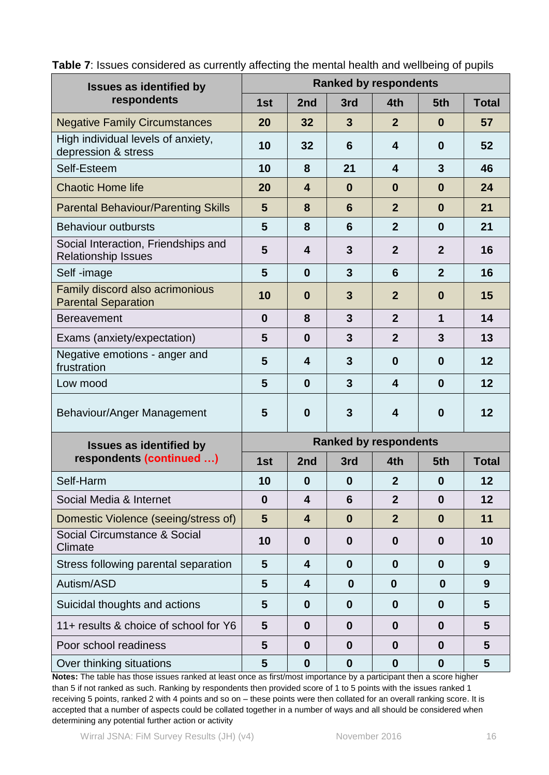| <b>Issues as identified by</b>                                    | <b>Ranked by respondents</b> |                         |                  |                         |                  |                 |
|-------------------------------------------------------------------|------------------------------|-------------------------|------------------|-------------------------|------------------|-----------------|
| respondents                                                       | 1st                          | 2nd                     | 3rd              | 4th                     | 5th              | <b>Total</b>    |
| <b>Negative Family Circumstances</b>                              | 20                           | 32                      | $\mathbf{3}$     | $\overline{2}$          | $\bf{0}$         | 57              |
| High individual levels of anxiety,<br>depression & stress         | 10                           | 32                      | 6                | $\overline{\mathbf{4}}$ | $\bf{0}$         | 52              |
| Self-Esteem                                                       | 10                           | 8                       | 21               | 4                       | 3                | 46              |
| <b>Chaotic Home life</b>                                          | 20                           | $\overline{\mathbf{4}}$ | $\bf{0}$         | $\bf{0}$                | $\bf{0}$         | 24              |
| <b>Parental Behaviour/Parenting Skills</b>                        | 5                            | 8                       | $6\phantom{1}6$  | $\overline{2}$          | $\bf{0}$         | 21              |
| <b>Behaviour outbursts</b>                                        | 5                            | 8                       | $6\phantom{1}6$  | $\overline{2}$          | $\bf{0}$         | 21              |
| Social Interaction, Friendships and<br><b>Relationship Issues</b> | 5                            | 4                       | $\mathbf{3}$     | $\overline{2}$          | $\overline{2}$   | 16              |
| Self-image                                                        | 5                            | $\mathbf 0$             | 3                | 6                       | $\overline{2}$   | 16              |
| Family discord also acrimonious<br><b>Parental Separation</b>     | 10                           | $\bf{0}$                | 3                | $\overline{2}$          | $\bf{0}$         | 15              |
| <b>Bereavement</b>                                                | $\bf{0}$                     | 8                       | 3                | $\overline{2}$          | $\mathbf 1$      | 14              |
| Exams (anxiety/expectation)                                       | 5                            | $\mathbf 0$             | 3                | $\overline{2}$          | 3                | 13              |
| Negative emotions - anger and<br>frustration                      | 5                            | 4                       | $\mathbf{3}$     | $\bf{0}$                | $\bf{0}$         | 12              |
| Low mood                                                          | 5                            | $\bf{0}$                | 3                | $\overline{\mathbf{4}}$ | $\bf{0}$         | 12              |
| Behaviour/Anger Management                                        | 5                            | $\bf{0}$                | 3                | 4                       | $\bf{0}$         | 12              |
| <b>Issues as identified by</b>                                    | <b>Ranked by respondents</b> |                         |                  |                         |                  |                 |
| respondents (continued )                                          | 1st                          | 2nd                     | 3rd              | 4th                     | 5th              | <b>Total</b>    |
| Self-Harm                                                         | 10                           | $\boldsymbol{0}$        | $\boldsymbol{0}$ | $\mathbf{2}$            | $\boldsymbol{0}$ | 12              |
| Social Media & Internet                                           | $\bf{0}$                     | $\overline{\mathbf{4}}$ | $6\phantom{1}6$  | $\overline{2}$          | $\mathbf{0}$     | 12              |
| Domestic Violence (seeing/stress of)                              | $5\phantom{1}$               | $\overline{\mathbf{4}}$ | $\bf{0}$         | $\boldsymbol{2}$        | $\bf{0}$         | 11              |
| Social Circumstance & Social<br>Climate                           | 10                           | $\mathbf 0$             | $\boldsymbol{0}$ | $\bf{0}$                | $\boldsymbol{0}$ | 10              |
| Stress following parental separation                              | 5                            | 4                       | $\boldsymbol{0}$ | $\bf{0}$                | $\mathbf{0}$     | 9               |
| Autism/ASD                                                        | 5                            | $\overline{\mathbf{4}}$ | $\boldsymbol{0}$ | $\boldsymbol{0}$        | $\bf{0}$         | 9               |
| Suicidal thoughts and actions                                     | 5                            | $\mathbf 0$             | $\bf{0}$         | $\bf{0}$                | $\boldsymbol{0}$ | 5               |
| 11+ results & choice of school for Y6                             | 5                            | $\bf{0}$                | $\bf{0}$         | $\bf{0}$                | $\bf{0}$         | 5               |
| Poor school readiness                                             | 5                            | $\boldsymbol{0}$        | $\boldsymbol{0}$ | $\boldsymbol{0}$        | $\bf{0}$         | 5               |
| Over thinking situations                                          | 5                            | $\boldsymbol{0}$        | $\boldsymbol{0}$ | $\boldsymbol{0}$        | $\boldsymbol{0}$ | $5\phantom{.0}$ |

**Table 7**: Issues considered as currently affecting the mental health and wellbeing of pupils

**Notes:** The table has those issues ranked at least once as first/most importance by a participant then a score higher than 5 if not ranked as such. Ranking by respondents then provided score of 1 to 5 points with the issues ranked 1 receiving 5 points, ranked 2 with 4 points and so on – these points were then collated for an overall ranking score. It is accepted that a number of aspects could be collated together in a number of ways and all should be considered when determining any potential further action or activity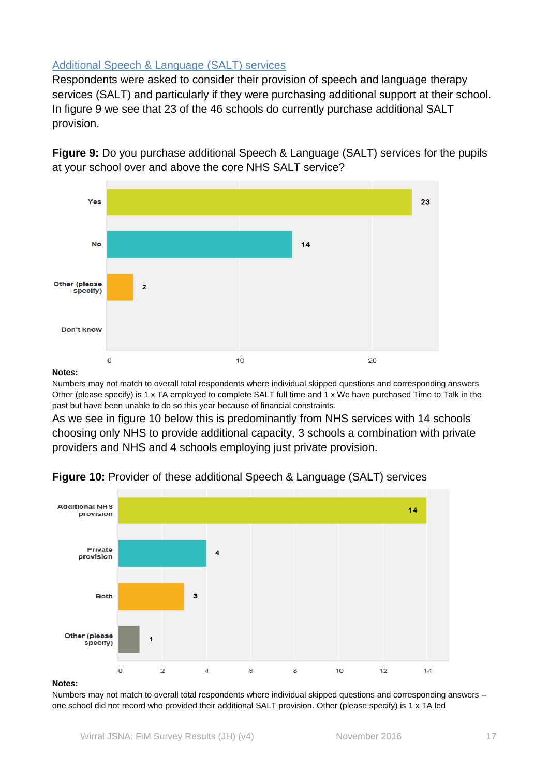### <span id="page-16-0"></span>Additional Speech & Language (SALT) services

Respondents were asked to consider their provision of speech and language therapy services (SALT) and particularly if they were purchasing additional support at their school. In figure 9 we see that 23 of the 46 schools do currently purchase additional SALT provision.





#### **Notes:**

Numbers may not match to overall total respondents where individual skipped questions and corresponding answers Other (please specify) is 1 x TA employed to complete SALT full time and 1 x We have purchased Time to Talk in the past but have been unable to do so this year because of financial constraints.

As we see in figure 10 below this is predominantly from NHS services with 14 schools choosing only NHS to provide additional capacity, 3 schools a combination with private providers and NHS and 4 schools employing just private provision.



### **Figure 10:** Provider of these additional Speech & Language (SALT) services

#### **Notes:**

Numbers may not match to overall total respondents where individual skipped questions and corresponding answers – one school did not record who provided their additional SALT provision. Other (please specify) is 1 x TA led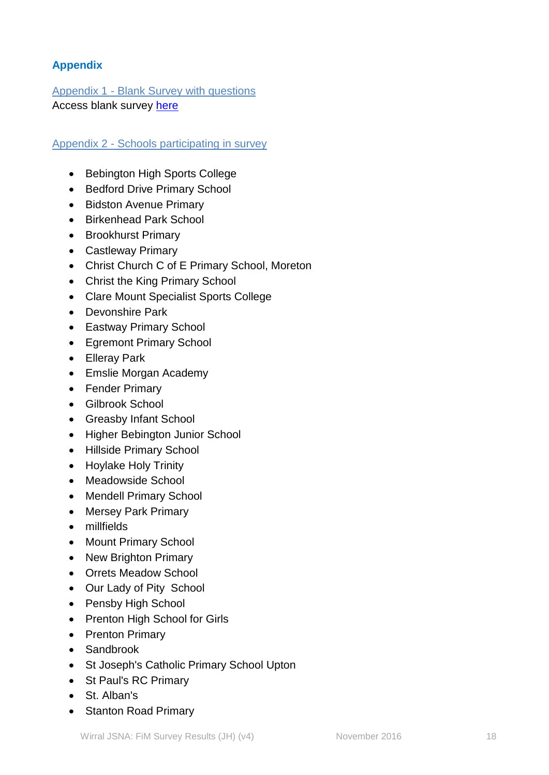# <span id="page-17-0"></span>**Appendix**

<span id="page-17-1"></span>Appendix 1 - Blank Survey with questions Access blank survey [here](http://info.wirral.nhs.uk/document_uploads/Downloads/FiM%20SurveyMonkey_80185198.pdf)

### <span id="page-17-2"></span>Appendix 2 - Schools participating in survey

- Bebington High Sports College
- Bedford Drive Primary School
- Bidston Avenue Primary
- Birkenhead Park School
- Brookhurst Primary
- Castleway Primary
- Christ Church C of E Primary School, Moreton
- Christ the King Primary School
- Clare Mount Specialist Sports College
- Devonshire Park
- Eastway Primary School
- Egremont Primary School
- Elleray Park
- Emslie Morgan Academy
- Fender Primary
- Gilbrook School
- Greasby Infant School
- Higher Bebington Junior School
- Hillside Primary School
- Hoylake Holy Trinity
- Meadowside School
- Mendell Primary School
- Mersey Park Primary
- millfields
- Mount Primary School
- New Brighton Primary
- Orrets Meadow School
- Our Lady of Pity School
- Pensby High School
- Prenton High School for Girls
- Prenton Primary
- Sandbrook
- St Joseph's Catholic Primary School Upton
- St Paul's RC Primary
- St. Alban's
- Stanton Road Primary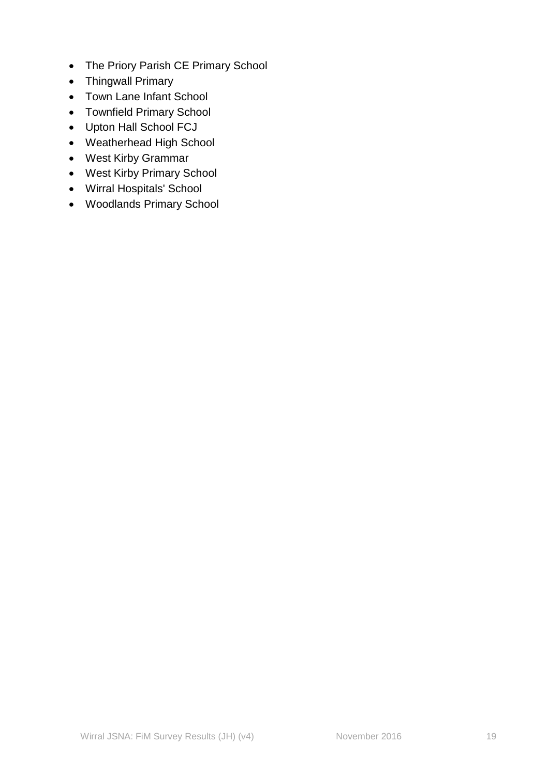- The Priory Parish CE Primary School
- Thingwall Primary
- Town Lane Infant School
- Townfield Primary School
- Upton Hall School FCJ
- Weatherhead High School
- West Kirby Grammar
- West Kirby Primary School
- Wirral Hospitals' School
- Woodlands Primary School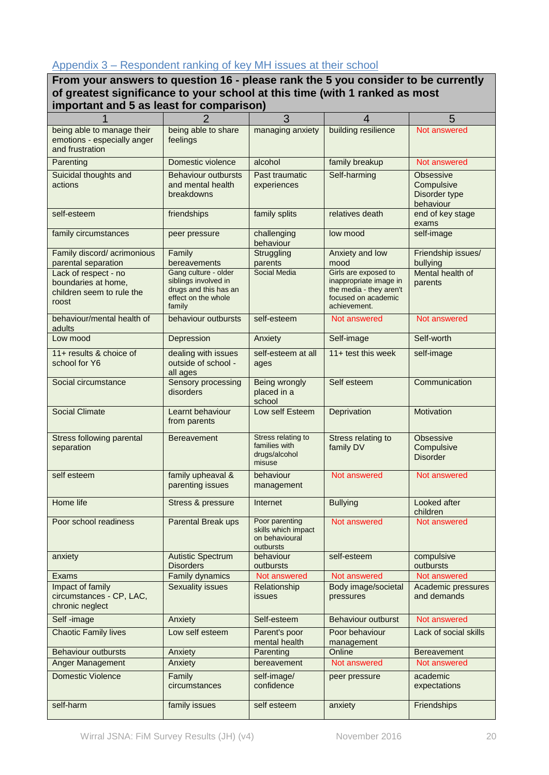### <span id="page-19-0"></span>Appendix 3 – Respondent ranking of key MH issues at their school

**From your answers to question 16 - please rank the 5 you consider to be currently of greatest significance to your school at this time (with 1 ranked as most important and 5 as least for comparison)**

| 1                                                                                 | $\overline{2}$                                                                                         | 3                                                                    | 4                                                                                                                | 5                                                            |
|-----------------------------------------------------------------------------------|--------------------------------------------------------------------------------------------------------|----------------------------------------------------------------------|------------------------------------------------------------------------------------------------------------------|--------------------------------------------------------------|
| being able to manage their<br>emotions - especially anger<br>and frustration      | being able to share<br>feelings                                                                        | managing anxiety                                                     | building resilience                                                                                              | Not answered                                                 |
| Parenting                                                                         | Domestic violence                                                                                      | alcohol                                                              | family breakup                                                                                                   | Not answered                                                 |
| Suicidal thoughts and<br>actions                                                  | <b>Behaviour outbursts</b><br>and mental health<br>breakdowns                                          | Past traumatic<br>experiences                                        | Self-harming                                                                                                     | <b>Obsessive</b><br>Compulsive<br>Disorder type<br>behaviour |
| self-esteem                                                                       | friendships                                                                                            | family splits                                                        | relatives death                                                                                                  | end of key stage<br>exams                                    |
| family circumstances                                                              | peer pressure                                                                                          | challenging<br>behaviour                                             | low mood                                                                                                         | self-image                                                   |
| Family discord/acrimonious<br>parental separation                                 | Family<br>bereavements                                                                                 | Struggling<br>parents                                                | Anxiety and low<br>mood                                                                                          | Friendship issues/<br>bullying                               |
| Lack of respect - no<br>boundaries at home,<br>children seem to rule the<br>roost | Gang culture - older<br>siblings involved in<br>drugs and this has an<br>effect on the whole<br>family | Social Media                                                         | Girls are exposed to<br>inappropriate image in<br>the media - they aren't<br>focused on academic<br>achievement. | Mental health of<br>parents                                  |
| behaviour/mental health of<br>adults                                              | behaviour outbursts                                                                                    | self-esteem                                                          | Not answered                                                                                                     | Not answered                                                 |
| Low mood                                                                          | Depression                                                                                             | Anxiety                                                              | Self-image                                                                                                       | Self-worth                                                   |
| 11+ results & choice of<br>school for Y6                                          | dealing with issues<br>outside of school -<br>all ages                                                 | self-esteem at all<br>ages                                           | 11+ test this week                                                                                               | self-image                                                   |
| Social circumstance                                                               | Sensory processing<br>disorders                                                                        | Being wrongly<br>placed in a<br>school                               | Self esteem                                                                                                      | Communication                                                |
| <b>Social Climate</b>                                                             | Learnt behaviour<br>from parents                                                                       | Low self Esteem                                                      | Deprivation                                                                                                      | Motivation                                                   |
| <b>Stress following parental</b><br>separation                                    | <b>Bereavement</b>                                                                                     | Stress relating to<br>families with<br>drugs/alcohol<br>misuse       | Stress relating to<br>family DV                                                                                  | Obsessive<br>Compulsive<br><b>Disorder</b>                   |
| self esteem                                                                       | family upheaval &<br>parenting issues                                                                  | behaviour<br>management                                              | Not answered                                                                                                     | Not answered                                                 |
| Home life                                                                         | Stress & pressure                                                                                      | Internet                                                             | <b>Bullying</b>                                                                                                  | Looked after<br>children                                     |
| Poor school readiness                                                             | Parental Break ups                                                                                     | Poor parenting<br>skills which impact<br>on behavioural<br>outbursts | Not answered                                                                                                     | Not answered                                                 |
| anxiety                                                                           | <b>Autistic Spectrum</b><br><b>Disorders</b>                                                           | behaviour<br>outbursts                                               | self-esteem                                                                                                      | compulsive<br>outbursts                                      |
| Exams                                                                             | Family dynamics                                                                                        | Not answered                                                         | Not answered                                                                                                     | Not answered                                                 |
| Impact of family<br>circumstances - CP, LAC,<br>chronic neglect                   | <b>Sexuality issues</b>                                                                                | Relationship<br>issues                                               | Body image/societal<br>pressures                                                                                 | Academic pressures<br>and demands                            |
| Self-image                                                                        | Anxiety                                                                                                | Self-esteem                                                          | <b>Behaviour outburst</b>                                                                                        | Not answered                                                 |
| <b>Chaotic Family lives</b>                                                       | Low self esteem                                                                                        | Parent's poor<br>mental health                                       | Poor behaviour<br>management                                                                                     | Lack of social skills                                        |
| <b>Behaviour outbursts</b>                                                        | Anxiety                                                                                                | Parenting                                                            | Online                                                                                                           | <b>Bereavement</b>                                           |
| <b>Anger Management</b>                                                           | Anxiety                                                                                                | bereavement                                                          | Not answered                                                                                                     | Not answered                                                 |
| <b>Domestic Violence</b>                                                          | Family<br>circumstances                                                                                | self-image/<br>confidence                                            | peer pressure                                                                                                    | academic<br>expectations                                     |
| self-harm                                                                         | family issues                                                                                          | self esteem                                                          | anxiety                                                                                                          | Friendships                                                  |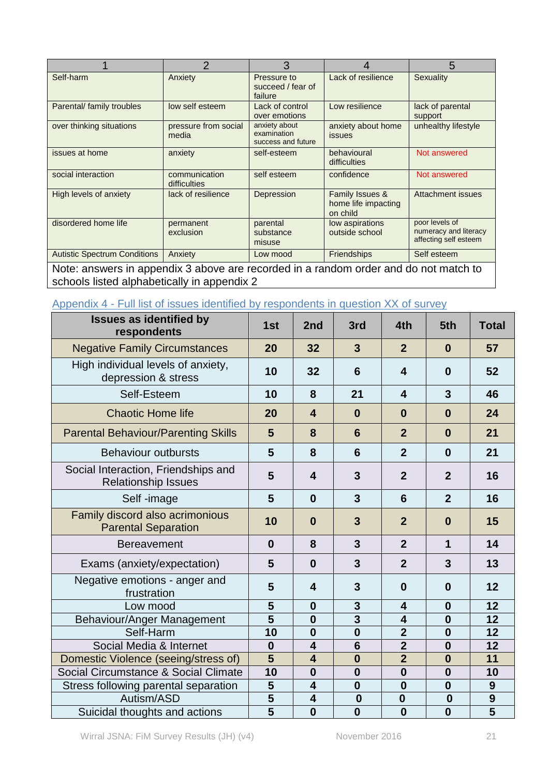|                                                                                      | $\overline{2}$                | 3                                                  |                                                    | 5                                                                |  |  |
|--------------------------------------------------------------------------------------|-------------------------------|----------------------------------------------------|----------------------------------------------------|------------------------------------------------------------------|--|--|
| Self-harm                                                                            | Anxiety                       | Pressure to<br>succeed / fear of<br>failure        | Lack of resilience                                 | Sexuality                                                        |  |  |
| Parental/ family troubles                                                            | low self esteem               | Lack of control<br>over emotions                   | Low resilience                                     | lack of parental<br>support                                      |  |  |
| over thinking situations                                                             | pressure from social<br>media | anxiety about<br>examination<br>success and future | anxiety about home<br><b>issues</b>                | unhealthy lifestyle                                              |  |  |
| issues at home                                                                       | anxiety                       | self-esteem                                        | behavioural<br>difficulties                        | Not answered                                                     |  |  |
| social interaction                                                                   | communication<br>difficulties | self esteem                                        | confidence                                         | Not answered                                                     |  |  |
| High levels of anxiety                                                               | lack of resilience            | Depression                                         | Family Issues &<br>home life impacting<br>on child | Attachment issues                                                |  |  |
| disordered home life                                                                 | permanent<br>exclusion        | parental<br>substance<br>misuse                    | low aspirations<br>outside school                  | poor levels of<br>numeracy and literacy<br>affecting self esteem |  |  |
| <b>Autistic Spectrum Conditions</b>                                                  | Anxiety                       | Low mood                                           | <b>Friendships</b>                                 | Self esteem                                                      |  |  |
| Note: answers in appendix 3 above are recorded in a random order and do not match to |                               |                                                    |                                                    |                                                                  |  |  |

schools listed alphabetically in appendix 2

# <span id="page-20-0"></span>Appendix 4 - Full list of issues identified by respondents in question XX of survey

| <b>Issues as identified by</b><br>respondents                     | 1st            | 2 <sub>nd</sub>         | 3rd             | 4th                     | 5th              | <b>Total</b>                         |
|-------------------------------------------------------------------|----------------|-------------------------|-----------------|-------------------------|------------------|--------------------------------------|
| <b>Negative Family Circumstances</b>                              | 20             | 32                      | $\overline{3}$  | $\overline{2}$          | $\bf{0}$         | 57                                   |
| High individual levels of anxiety,<br>depression & stress         | 10             | 32                      | 6               | $\overline{\mathbf{4}}$ | $\bf{0}$         | 52                                   |
| Self-Esteem                                                       | 10             | 8                       | 21              | $\overline{\mathbf{4}}$ | 3                | 46                                   |
| <b>Chaotic Home life</b>                                          | 20             | $\overline{\mathbf{4}}$ | $\mathbf 0$     | $\bf{0}$                | $\bf{0}$         | 24                                   |
| <b>Parental Behaviour/Parenting Skills</b>                        | 5              | 8                       | 6               | $\overline{2}$          | $\bf{0}$         | 21                                   |
| <b>Behaviour outbursts</b>                                        | 5              | 8                       | 6               | $\overline{2}$          | $\mathbf 0$      | 21                                   |
| Social Interaction, Friendships and<br><b>Relationship Issues</b> | 5              | 4                       | $\overline{3}$  | $\overline{2}$          | $\overline{2}$   | 16                                   |
| Self-image                                                        | 5              | $\bf{0}$                | $\overline{3}$  | 6                       | $\overline{2}$   | 16                                   |
| Family discord also acrimonious<br><b>Parental Separation</b>     | 10             | $\bf{0}$                | $\overline{3}$  | $\overline{2}$          | $\bf{0}$         | 15                                   |
| <b>Bereavement</b>                                                | $\bf{0}$       | 8                       | $\overline{3}$  | $\overline{2}$          | $\mathbf 1$      | 14                                   |
| Exams (anxiety/expectation)                                       | 5              | $\bf{0}$                | $\overline{3}$  | $\overline{2}$          | 3                | 13                                   |
| Negative emotions - anger and<br>frustration                      | 5              | 4                       | $\mathbf{3}$    | $\bf{0}$                | $\bf{0}$         | 12                                   |
| Low mood                                                          | 5              | $\bf{0}$                | $\mathbf{3}$    | $\overline{\mathbf{4}}$ | $\boldsymbol{0}$ | 12                                   |
| Behaviour/Anger Management                                        | 5              | $\bf{0}$                | $\overline{3}$  | $\overline{\mathbf{4}}$ | $\bf{0}$         | 12                                   |
| Self-Harm                                                         | 10             | $\bf{0}$                | $\bf{0}$        | $\overline{2}$          | $\bf{0}$         | 12                                   |
| Social Media & Internet                                           | $\bf{0}$       | $\overline{\mathbf{4}}$ | $6\phantom{1}6$ | $\overline{2}$          | $\bf{0}$         | 12                                   |
| Domestic Violence (seeing/stress of)                              | 5              | 4                       | $\bf{0}$        | $\overline{2}$          | $\bf{0}$         | 11                                   |
| Social Circumstance & Social Climate                              | 10             | $\bf{0}$                | $\bf{0}$        | $\mathbf 0$             | $\boldsymbol{0}$ | 10                                   |
| Stress following parental separation                              | 5              | 4                       | $\bf{0}$        | $\bf{0}$                | $\bf{0}$         | 9                                    |
| Autism/ASD                                                        | $\overline{5}$ | 4                       | $\bf{0}$        | $\mathbf{0}$            | $\bf{0}$         | $\overline{9}$                       |
| Suicidal thoughts and actions                                     | $\overline{5}$ | $\bf{0}$                | $\bf{0}$        | $\bf{0}$                | $\bf{0}$         | $\overline{\overline{\overline{5}}}$ |